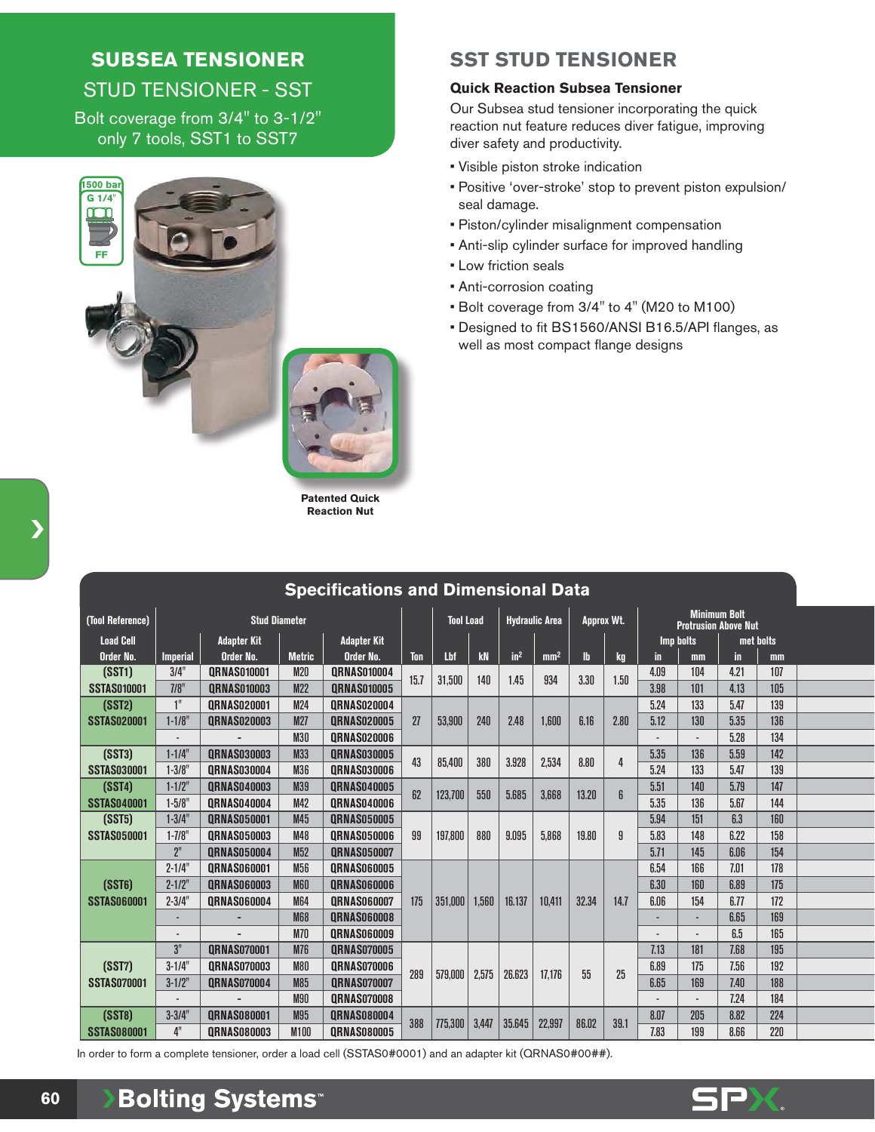# **SUBSEA TENSIONER**  STUD TENSIONER - SST

Bolt coverage from 3/4" to 3-1/2" only 7 tools, SST1 to SST7



**Patented Quick Reaction Nut**

## **SST STUD TENSIONER**

#### **Quick Reaction Subsea Tensioner**

Our Subsea stud tensioner incorporating the quick reaction nut feature reduces diver fatigue, improving diver safety and productivity.

- Visible piston stroke indication
- Positive 'over-stroke' stop to prevent piston expulsion/ seal damage.
- Piston/cylinder misalignment compensation
- Anti-slip cylinder surface for improved handling
- Low friction seals
- Anti-corrosion coating
- Bolt coverage from 3/4" to 4" (M20 to M100)
- Designed to fit BS1560/ANSI B16.5/API flanges, as well as most compact flange designs

| (Tool Reference)   |                          | <b>Stud Diameter</b>                     |                 | <b>Tool Load</b>   |      | <b>Hydraulic Area</b> |       | Approx Wt.      |                 | <b>Minimum Bolt</b><br><b>Protrusion Above Nut</b> |      |           |      |           |     |  |
|--------------------|--------------------------|------------------------------------------|-----------------|--------------------|------|-----------------------|-------|-----------------|-----------------|----------------------------------------------------|------|-----------|------|-----------|-----|--|
| <b>Load Cell</b>   |                          | <b>Adapter Kit</b><br><b>Adapter Kit</b> |                 |                    |      |                       |       |                 |                 |                                                    |      | Imp bolts |      | met bolts |     |  |
| Order No.          | <b>Imperial</b>          | Order No.                                | <b>Metric</b>   | Order No.          | Ton  | Lbf                   | kN    | in <sup>2</sup> | mm <sup>2</sup> | $\mathbf{h}$                                       | kg   | in.       | mm   | in        | mm  |  |
| (SST1)             | 3/4"                     | <b>QRNAS010001</b>                       | <b>M20</b>      | <b>QRNAS010004</b> | 15.7 | 31,500                | 140   | 1.45            | 934             | 3.30                                               | 1.50 | 4.09      | 104  | 4.21      | 107 |  |
| <b>SSTAS010001</b> | 7/8"                     | <b>QRNAS010003</b>                       | <b>M22</b>      | <b>QRNAS010005</b> |      |                       |       |                 |                 |                                                    |      | 3.98      | 101  | 4.13      | 105 |  |
| (SST2)             | 1"                       | <b>QRNAS020001</b>                       | <b>M24</b>      | <b>QRNAS020004</b> |      |                       |       |                 |                 |                                                    |      | 5.24      | 133  | 5.47      | 139 |  |
| <b>SSTAS020001</b> | $1 - 1/8$                | <b>QRNAS020003</b>                       | <b>M27</b>      | <b>QRNAS020005</b> | 27   | 53,900                | 240   | 2.48            | 1.600           | 6.16                                               | 2.80 | 5.12      | 130  | 5.35      | 136 |  |
|                    |                          |                                          | <b>M30</b>      | <b>QRNAS020006</b> |      |                       |       |                 |                 |                                                    |      |           |      | 5.28      | 134 |  |
| (SST3)             | $1 - 1/4$ "              | <b>QRNAS030003</b>                       | M33             | <b>QRNAS030005</b> | 43   | 85,400                | 380   | 3.928           | 2,534           | 8.80                                               | 4    | 5.35      | 136  | 5.59      | 142 |  |
| <b>SSTAS030001</b> | $1 - 3/8'$               | <b>ORNAS030004</b>                       | M36             | <b>ORNAS030006</b> |      |                       |       |                 |                 |                                                    |      | 5.24      | 133  | 5.47      | 139 |  |
| (SST4)             | $1 - 1/2$ "              | <b>QRNAS040003</b>                       | M39             | <b>QRNAS040005</b> | 62   | 123,700               | 550   | 5.685           | 3,668           | 13.20                                              | 6    | 5.51      | 140  | 5.79      | 147 |  |
| <b>SSTAS040001</b> | $1 - 5/8$ "              | <b>QRNAS040004</b>                       | M42             | <b>QRNAS040006</b> |      |                       |       |                 |                 |                                                    |      | 5.35      | 136  | 5.67      | 144 |  |
| (SST5)             | $1 - 3/4"$               | <b>QRNAS050001</b>                       | M45             | <b>QRNAS050005</b> |      | 197.800               | 880   | 9.095           |                 | 19,80                                              | 9    | 5.94      | 151  | 6.3       | 160 |  |
| <b>SSTAS050001</b> | $1 - 7/8$                | <b>QRNAS050003</b>                       | M48             | <b>QRNAS050006</b> | 99   |                       |       |                 | 5,868           |                                                    |      | 5.83      | 148  | 6.22      | 158 |  |
|                    | 2 <sup>n</sup>           | <b>QRNAS050004</b>                       | M <sub>52</sub> | <b>QRNAS050007</b> |      |                       |       |                 |                 |                                                    |      | 5.71      | 145  | 6.06      | 154 |  |
|                    | $2 - 1/4'$               | <b>QRNAS060001</b>                       | M56             | <b>QRNAS060005</b> |      | 351,000               | 1.560 | 16.137          |                 | 32.34                                              | 14.7 | 6.54      | 166  | 7.01      | 178 |  |
| (SST6)             | $2 - 1/2$ "              | <b>QRNAS060003</b>                       | <b>M60</b>      | <b>QRNAS060006</b> |      |                       |       |                 |                 |                                                    |      | 6.30      | 160  | 6.89      | 175 |  |
| <b>SSTAS060001</b> | $2 - 3/4"$               | <b>QRNAS060004</b>                       | <b>M64</b>      | <b>ORNAS060007</b> | 175  |                       |       |                 | 10,411          |                                                    |      | 6.06      | 154  | 6.77      | 172 |  |
|                    | ٠                        |                                          | <b>M68</b>      | <b>QRNAS060008</b> |      |                       |       |                 |                 |                                                    |      |           | 6.65 | 169       |     |  |
|                    | $\overline{\phantom{a}}$ |                                          | <b>M70</b>      | <b>QRNAS060009</b> |      |                       |       |                 |                 |                                                    |      |           |      | 6.5       | 165 |  |
|                    | 3"                       | <b>QRNAS070001</b>                       | <b>M76</b>      | <b>QRNAS070005</b> | 289  | 579,000               | 2,575 | 26.623          | 17,176          | 55                                                 | 25   | 7.13      | 181  | 7.68      | 195 |  |
| (SST7)             | $3 - 1/4$ "              | <b>QRNAS070003</b>                       | <b>M80</b>      | <b>QRNAS070006</b> |      |                       |       |                 |                 |                                                    |      | 6.89      | 175  | 7.56      | 192 |  |
| <b>SSTAS070001</b> | $3 - 1/2$ "              | <b>QRNAS070004</b>                       | M85             | <b>QRNAS070007</b> |      |                       |       |                 |                 |                                                    |      | 6.65      | 169  | 7.40      | 188 |  |
|                    |                          |                                          | <b>M90</b>      | <b>QRNAS070008</b> |      |                       |       |                 |                 |                                                    |      |           |      | 7.24      | 184 |  |
| (SST8)             | $3 - 3/4"$               | <b>QRNAS080001</b>                       | <b>M95</b>      | <b>QRNAS080004</b> | 388  |                       |       |                 |                 |                                                    | 39.1 | 8.07      | 205  | 8.82      | 224 |  |
| <b>SSTAS080001</b> | 4"                       | <b>QRNAS080003</b>                       | M100            | <b>QRNAS080005</b> |      | 775,300               | 3,447 | 35.645          | 22,997          | 86.02                                              |      | 7.83      | 199  | 8.66      | 220 |  |

**Specifications and Dimensional Data**

In order to form a complete tensioner, order a load cell (SSTAS0#0001) and an adapter kit (QRNAS0#00##).